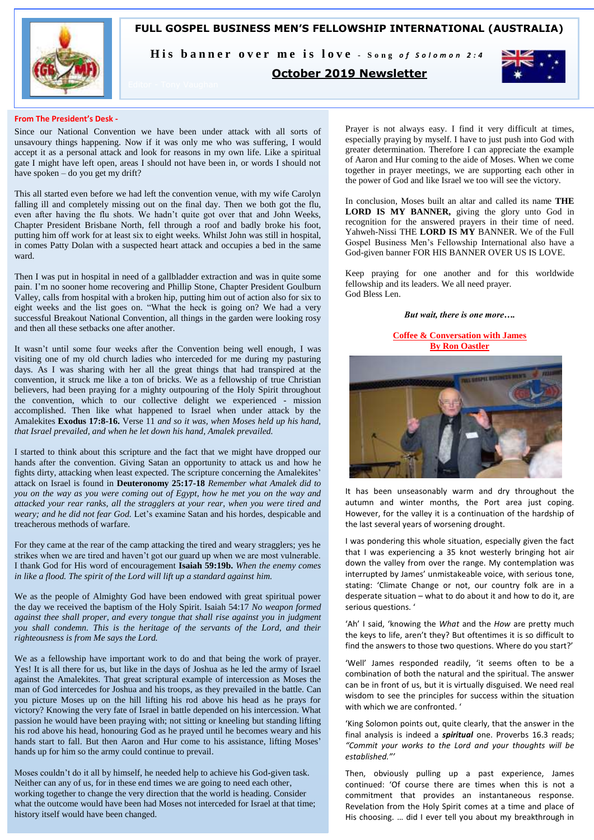

**FULL GOSPEL BUSINESS MEN'S FELLOWSHIP INTERNATIONAL (AUSTRALIA)**

His banner over me is love - Song of Solomon 2:4

# **October 2019 Newsletter**



### **From The President's Desk -**

Since our National Convention we have been under attack with all sorts of unsavoury things happening. Now if it was only me who was suffering, I would accept it as a personal attack and look for reasons in my own life. Like a spiritual gate I might have left open, areas I should not have been in, or words I should not have spoken – do you get my drift?

This all started even before we had left the convention venue, with my wife Carolyn falling ill and completely missing out on the final day. Then we both got the flu, even after having the flu shots. We hadn't quite got over that and John Weeks, Chapter President Brisbane North, fell through a roof and badly broke his foot, putting him off work for at least six to eight weeks. Whilst John was still in hospital, in comes Patty Dolan with a suspected heart attack and occupies a bed in the same ward.

Then I was put in hospital in need of a gallbladder extraction and was in quite some pain. I'm no sooner home recovering and Phillip Stone, Chapter President Goulburn Valley, calls from hospital with a broken hip, putting him out of action also for six to eight weeks and the list goes on. "What the heck is going on? We had a very successful Breakout National Convention, all things in the garden were looking rosy and then all these setbacks one after another.

It wasn't until some four weeks after the Convention being well enough, I was visiting one of my old church ladies who interceded for me during my pasturing days. As I was sharing with her all the great things that had transpired at the convention, it struck me like a ton of bricks. We as a fellowship of true Christian believers, had been praying for a mighty outpouring of the Holy Spirit throughout the convention, which to our collective delight we experienced - mission accomplished. Then like what happened to Israel when under attack by the Amalekites **Exodus 17:8-16.** Verse 11 *and so it was, when Moses held up his hand, that Israel prevailed, and when he let down his hand, Amalek prevailed.* 

I started to think about this scripture and the fact that we might have dropped our hands after the convention. Giving Satan an opportunity to attack us and how he fights dirty, attacking when least expected. The scripture concerning the Amalekites' attack on Israel is found in **Deuteronomy 25:17-18** *Remember what Amalek did to you on the way as you were coming out of Egypt, how he met you on the way and attacked your rear ranks, all the stragglers at your rear, when you were tired and weary; and he did not fear God.* Let's examine Satan and his hordes, despicable and treacherous methods of warfare.

For they came at the rear of the camp attacking the tired and weary stragglers; yes he strikes when we are tired and haven't got our guard up when we are most vulnerable. I thank God for His word of encouragement **Isaiah 59:19b.** *When the enemy comes in like a flood. The spirit of the Lord will lift up a standard against him.* 

We as the people of Almighty God have been endowed with great spiritual power the day we received the baptism of the Holy Spirit. Isaiah 54:17 *No weapon formed against thee shall proper, and every tongue that shall rise against you in judgment you shall condemn. This is the heritage of the servants of the Lord, and their righteousness is from Me says the Lord.* 

We as a fellowship have important work to do and that being the work of prayer. Yes! It is all there for us, but like in the days of Joshua as he led the army of Israel against the Amalekites. That great scriptural example of intercession as Moses the man of God intercedes for Joshua and his troops, as they prevailed in the battle. Can you picture Moses up on the hill lifting his rod above his head as he prays for victory? Knowing the very fate of Israel in battle depended on his intercession. What passion he would have been praying with; not sitting or kneeling but standing lifting his rod above his head, honouring God as he prayed until he becomes weary and his hands start to fall. But then Aaron and Hur come to his assistance, lifting Moses' hands up for him so the army could continue to prevail.

Moses couldn't do it all by himself, he needed help to achieve his God-given task. Neither can any of us, for in these end times we are going to need each other, working together to change the very direction that the world is heading. Consider what the outcome would have been had Moses not interceded for Israel at that time; history itself would have been changed.

Prayer is not always easy. I find it very difficult at times, especially praying by myself. I have to just push into God with greater determination. Therefore I can appreciate the example of Aaron and Hur coming to the aide of Moses. When we come together in prayer meetings, we are supporting each other in the power of God and like Israel we too will see the victory.

In conclusion, Moses built an altar and called its name **THE LORD IS MY BANNER,** giving the glory unto God in recognition for the answered prayers in their time of need. Yahweh-Nissi THE **LORD IS MY** BANNER. We of the Full Gospel Business Men's Fellowship International also have a God-given banner FOR HIS BANNER OVER US IS LOVE.

Keep praying for one another and for this worldwide fellowship and its leaders. We all need prayer. God Bless Len.

## *But wait, there is one more….*

# **Coffee & Conversation with James By Ron Oastler**



It has been unseasonably warm and dry throughout the autumn and winter months, the Port area just coping. However, for the valley it is a continuation of the hardship of the last several years of worsening drought.

I was pondering this whole situation, especially given the fact that I was experiencing a 35 knot westerly bringing hot air down the valley from over the range. My contemplation was interrupted by James' unmistakeable voice, with serious tone, stating: 'Climate Change or not, our country folk are in a desperate situation – what to do about it and how to do it, are serious questions. '

'Ah' I said, 'knowing the *What* and the *How* are pretty much the keys to life, aren't they? But oftentimes it is so difficult to find the answers to those two questions. Where do you start?'

'Well' James responded readily, 'it seems often to be a combination of both the natural and the spiritual. The answer can be in front of us, but it is virtually disguised. We need real wisdom to see the principles for success within the situation with which we are confronted. '

'King Solomon points out, quite clearly, that the answer in the final analysis is indeed a *spiritual* one. Proverbs 16.3 reads; *"Commit your works to the Lord and your thoughts will be established."'*

Then, obviously pulling up a past experience, James continued: 'Of course there are times when this is not a commitment that provides an instantaneous response. Revelation from the Holy Spirit comes at a time and place of His choosing. … did I ever tell you about my breakthrough in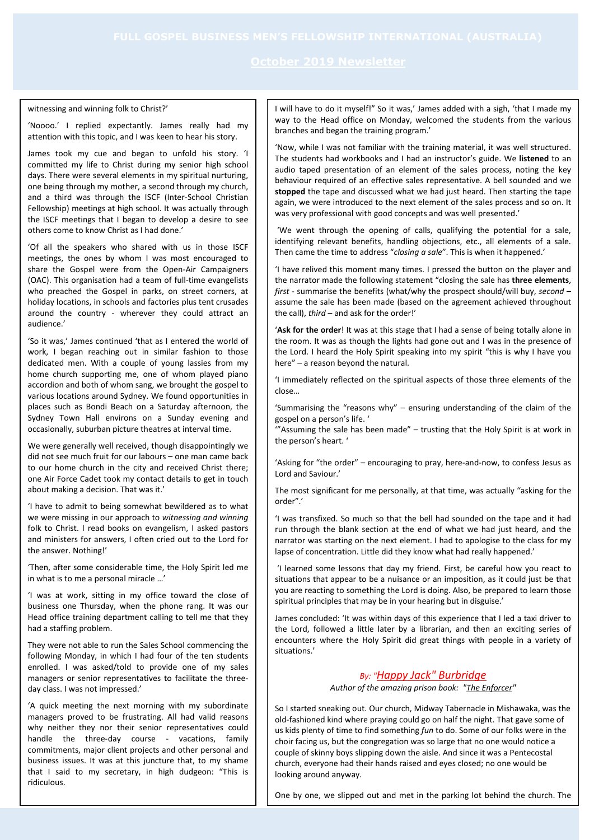## witnessing and winning folk to Christ?'

'Noooo.' I replied expectantly. James really had my attention with this topic, and I was keen to hear his story.

James took my cue and began to unfold his story. 'I committed my life to Christ during my senior high school days. There were several elements in my spiritual nurturing, one being through my mother, a second through my church, and a third was through the ISCF (Inter-School Christian Fellowship) meetings at high school. It was actually through the ISCF meetings that I began to develop a desire to see others come to know Christ as I had done.'

'Of all the speakers who shared with us in those ISCF meetings, the ones by whom I was most encouraged to share the Gospel were from the Open-Air Campaigners (OAC). This organisation had a team of full-time evangelists who preached the Gospel in parks, on street corners, at holiday locations, in schools and factories plus tent crusades around the country - wherever they could attract an audience.'

'So it was,' James continued 'that as I entered the world of work, I began reaching out in similar fashion to those dedicated men. With a couple of young lassies from my home church supporting me, one of whom played piano accordion and both of whom sang, we brought the gospel to various locations around Sydney. We found opportunities in places such as Bondi Beach on a Saturday afternoon, the Sydney Town Hall environs on a Sunday evening and occasionally, suburban picture theatres at interval time.

We were generally well received, though disappointingly we did not see much fruit for our labours – one man came back to our home church in the city and received Christ there; one Air Force Cadet took my contact details to get in touch about making a decision. That was it.'

'I have to admit to being somewhat bewildered as to what we were missing in our approach to *witnessing and winning* folk to Christ. I read books on evangelism, I asked pastors and ministers for answers, I often cried out to the Lord for the answer. Nothing!'

'Then, after some considerable time, the Holy Spirit led me in what is to me a personal miracle …'

'I was at work, sitting in my office toward the close of business one Thursday, when the phone rang. It was our Head office training department calling to tell me that they had a staffing problem.

They were not able to run the Sales School commencing the following Monday, in which I had four of the ten students enrolled. I was asked/told to provide one of my sales managers or senior representatives to facilitate the threeday class. I was not impressed.'

'A quick meeting the next morning with my subordinate managers proved to be frustrating. All had valid reasons why neither they nor their senior representatives could handle the three-day course - vacations, family commitments, major client projects and other personal and business issues. It was at this juncture that, to my shame that I said to my secretary, in high dudgeon: "This is ridiculous.

I will have to do it myself!" So it was,' James added with a sigh, 'that I made my way to the Head office on Monday, welcomed the students from the various branches and began the training program.'

'Now, while I was not familiar with the training material, it was well structured. The students had workbooks and I had an instructor's guide. We **listened** to an audio taped presentation of an element of the sales process, noting the key behaviour required of an effective sales representative. A bell sounded and we **stopped** the tape and discussed what we had just heard. Then starting the tape again, we were introduced to the next element of the sales process and so on. It was very professional with good concepts and was well presented.'

'We went through the opening of calls, qualifying the potential for a sale, identifying relevant benefits, handling objections, etc., all elements of a sale. Then came the time to address "*closing a sale*". This is when it happened.'

'I have relived this moment many times. I pressed the button on the player and the narrator made the following statement "closing the sale has **three elements**, *first* - summarise the benefits (what/why the prospect should/will buy, *second* – assume the sale has been made (based on the agreement achieved throughout the call), *third* – and ask for the order!'

'**Ask for the order**! It was at this stage that I had a sense of being totally alone in the room. It was as though the lights had gone out and I was in the presence of the Lord. I heard the Holy Spirit speaking into my spirit "this is why I have you here" – a reason beyond the natural.

'I immediately reflected on the spiritual aspects of those three elements of the close…

'Summarising the "reasons why" – ensuring understanding of the claim of the gospel on a person's life. '

'"Assuming the sale has been made" – trusting that the Holy Spirit is at work in the person's heart. '

'Asking for "the order" – encouraging to pray, here-and-now, to confess Jesus as Lord and Saviour.'

The most significant for me personally, at that time, was actually "asking for the order".'

'I was transfixed. So much so that the bell had sounded on the tape and it had run through the blank section at the end of what we had just heard, and the narrator was starting on the next element. I had to apologise to the class for my lapse of concentration. Little did they know what had really happened.'

'I learned some lessons that day my friend. First, be careful how you react to situations that appear to be a nuisance or an imposition, as it could just be that you are reacting to something the Lord is doing. Also, be prepared to learn those spiritual principles that may be in your hearing but in disguise.'

James concluded: 'It was within days of this experience that I led a taxi driver to the Lord, followed a little later by a librarian, and then an exciting series of encounters where the Holy Spirit did great things with people in a variety of situations.'

# *By: "[Happy Jack" Burbridge](http://fromcrimetochrist.com/welcome.htm)*

*Author of the amazing prison book: ["The Enforcer"](http://www.fromcrimetochrist.com/Enforcer.htm)*

So I started sneaking out. Our church, Midway Tabernacle in Mishawaka, was the old-fashioned kind where praying could go on half the night. That gave some of us kids plenty of time to find something *fun* to do. Some of our folks were in the choir facing us, but the congregation was so large that no one would notice a couple of skinny boys slipping down the aisle. And since it was a Pentecostal church, everyone had their hands raised and eyes closed; no one would be looking around anyway.

One by one, we slipped out and met in the parking lot behind the church. The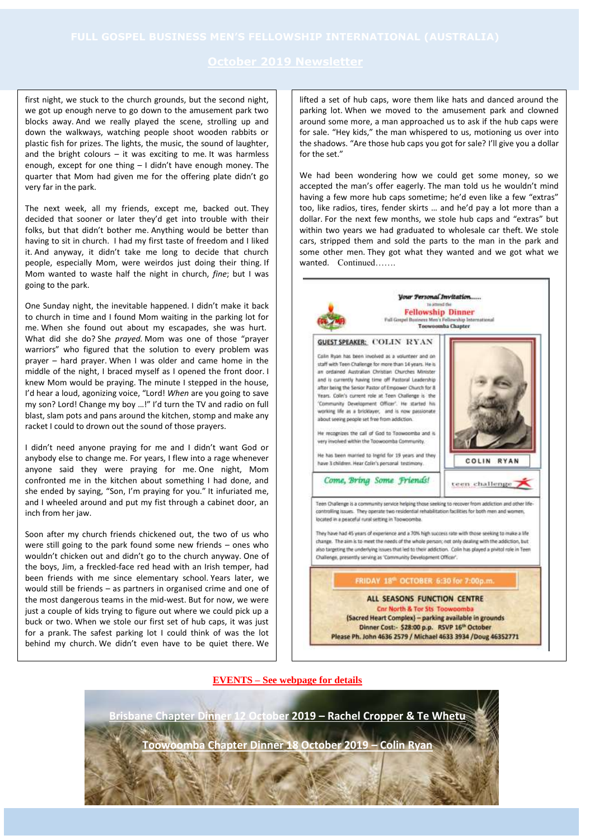first night, we stuck to the church grounds, but the second night, we got up enough nerve to go down to the amusement park two blocks away. And we really played the scene, strolling up and down the walkways, watching people shoot wooden rabbits or plastic fish for prizes. The lights, the music, the sound of laughter, and the bright colours  $-$  it was exciting to me. It was harmless enough, except for one thing – I didn't have enough money. The quarter that Mom had given me for the offering plate didn't go very far in the park.

The next week, all my friends, except me, backed out. They decided that sooner or later they'd get into trouble with their folks, but that didn't bother me. Anything would be better than having to sit in church. I had my first taste of freedom and I liked it. And anyway, it didn't take me long to decide that church people, especially Mom, were weirdos just doing their thing. If Mom wanted to waste half the night in church, *fine*; but I was going to the park.

One Sunday night, the inevitable happened. I didn't make it back to church in time and I found Mom waiting in the parking lot for me. When she found out about my escapades, she was hurt. What did she do? She *prayed.* Mom was one of those "prayer warriors" who figured that the solution to every problem was prayer – hard prayer. When I was older and came home in the middle of the night, I braced myself as I opened the front door. I knew Mom would be praying. The minute I stepped in the house, I'd hear a loud, agonizing voice, "Lord! *When* are you going to save my son? Lord! Change my boy ...!" I'd turn the TV and radio on full blast, slam pots and pans around the kitchen, stomp and make any racket I could to drown out the sound of those prayers.

I didn't need anyone praying for me and I didn't want God or anybody else to change me. For years, I flew into a rage whenever anyone said they were praying for me. One night, Mom confronted me in the kitchen about something I had done, and she ended by saying, "Son, I'm praying for you." It infuriated me, and I wheeled around and put my fist through a cabinet door, an inch from her jaw.

Soon after my church friends chickened out, the two of us who were still going to the park found some new friends – ones who wouldn't chicken out and didn't go to the church anyway. One of the boys, Jim, a freckled-face red head with an Irish temper, had been friends with me since elementary school. Years later, we would still be friends – as partners in organised crime and one of the most dangerous teams in the mid-west. But for now, we were just a couple of kids trying to figure out where we could pick up a buck or two. When we stole our first set of hub caps, it was just for a prank. The safest parking lot I could think of was the lot behind my church. We didn't even have to be quiet there. We

lifted a set of hub caps, wore them like hats and danced around the parking lot. When we moved to the amusement park and clowned around some more, a man approached us to ask if the hub caps were for sale. "Hey kids," the man whispered to us, motioning us over into the shadows. "Are those hub caps you got for sale? I'll give you a dollar for the set."

We had been wondering how we could get some money, so we accepted the man's offer eagerly. The man told us he wouldn't mind having a few more hub caps sometime; he'd even like a few "extras" too, like radios, tires, fender skirts … and he'd pay a lot more than a dollar. For the next few months, we stole hub caps and "extras" but within two years we had graduated to wholesale car theft. We stole cars, stripped them and sold the parts to the man in the park and some other men. They got what they wanted and we got what we wanted. Continued…….



# **EVENTS – See webpage for details**